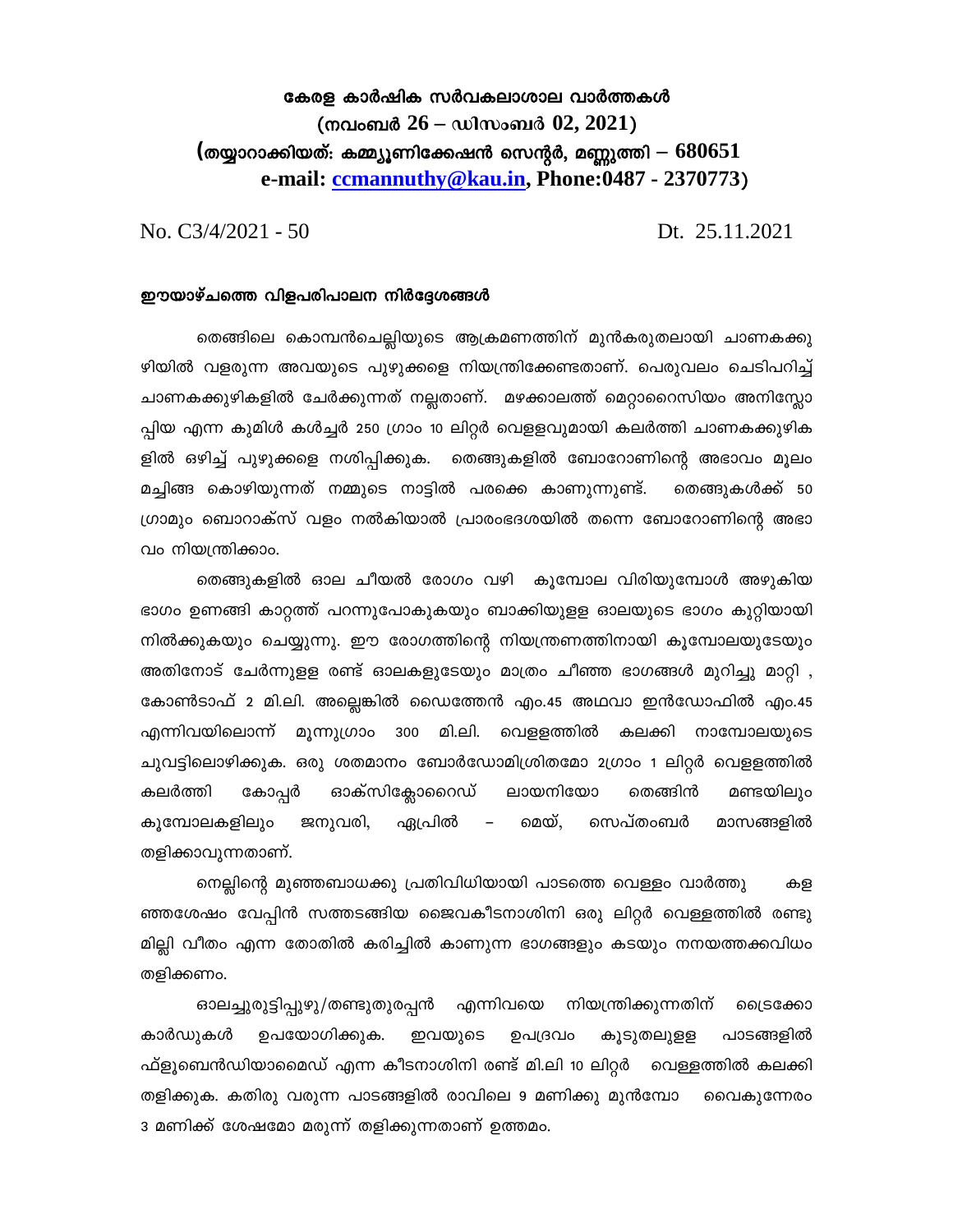കേരള കാർഷിക സർവകലാശാല വാർത്തകൾ (നവംബർ 26 – ഡിസംബർ 02, 2021) (തയ്യാറാക്കിയത്: കമ്മ്യൂണിക്കേഷൻ സെന്റർ, മണ്ണുത്തി —  $680651$ e-mail: **comannuthy@kau.in**, Phone:0487 - 2370773)

Dt. 25.11.2021

No. C3/4/2021 - 50

## ഈയാഴ്ചത്തെ വിളപരിപാലന നിർദ്ദേശങ്ങൾ

തെങ്ങിലെ കൊമ്പൻചെല്ലിയുടെ ആക്രമണത്തിന് മുൻകരുതലായി ചാണകക്കു ഴിയിൽ വളരുന്ന അവയുടെ പുഴുക്കളെ നിയന്ത്രിക്കേണ്ടതാണ്. പെരുവലം ചെടിപറിച്ച് ചാണകക്കുഴികളിൽ ചേർക്കുന്നത് നല്ലതാണ്. മഴക്കാലത്ത് മെറ്റാറൈസിയം അനിസ്ലോ പ്പിയ എന്ന കുമിൾ കൾച്ചർ 250 ഗ്രാം 10 ലിറ്റർ വെളളവുമായി കലർത്തി ചാണകക്കുഴിക ളിൽ ഒഴിച്ച് പുഴുക്കളെ നശിപ്പിക്കുക. തെങ്ങുകളിൽ ബോറോണിന്റെ അഭാവം മൂലം മച്ചിങ്ങ കൊഴിയുന്നത് നമ്മുടെ നാട്ടിൽ പരക്കെ കാണുന്നുണ്ട്. തെങ്ങുകൾക്ക് 50 ഗ്രാമും ബൊറാക്സ് വളം നൽകിയാൽ പ്രാരംഭദശയിൽ തന്നെ ബോറോണിന്റെ അഭാ വം നിയന്ത്രിക്കാം.

തെങ്ങുകളിൽ ഓല ചീയൽ രോഗം വഴി കൂമ്പോല വിരിയുമ്പോൾ അഴുകിയ ഭാഗം ഉണങ്ങി കാറ്റത്ത് പറന്നുപോകുകയും ബാക്കിയുളള ഓലയുടെ ഭാഗം കുറ്റിയായി നിൽക്കുകയും ചെയ്യുന്നു. ഈ രോഗത്തിന്റെ നിയന്ത്രണത്തിനായി കൂമ്പോലയുടേയും അതിനോട് ചേർന്നുള്ള രണ്ട് ഓലകളുടേയും മാത്രം ചീഞ്ഞ ഭാഗങ്ങൾ മുറിച്ചു മാറ്റി , കോൺടാഫ് 2 മി.ലി. അല്ലെങ്കിൽ ഡൈത്തേൻ എം.45 അഥവാ ഇൻഡോഫിൽ എം.45 എന്നിവയിലൊന്ന് മൂന്നുഗ്രാം 300 മി.ലി. വെളളത്തിൽ കലക്കി നാമ്പോലയുടെ ചുവട്ടിലൊഴിക്കുക. ഒരു ശതമാനം ബോർഡോമിശ്രിതമോ 2ഗ്രാം 1 ലിറ്റർ വെളളത്തിൽ കലർത്തി കോപ്പർ ഓക്സിക്ലോറൈഡ് ലായനിയോ തെങ്ങിൻ മണ്ടയിലും കുമ്പോലകളിലും മെയ്. സെപ്തംബർ മാസങ്ങളിൽ ജനുവരി, ഏപ്രിൽ തളിക്കാവുന്നതാണ്.

നെല്ലിന്റെ മുഞ്ഞബാധക്കു പ്രതിവിധിയായി പാടത്തെ വെള്ളം വാർത്തു കള ഞ്ഞശേഷം വേപ്പിൻ സത്തടങ്ങിയ ജൈവകീടനാശിനി ഒരു ലിറ്റർ വെള്ളത്തിൽ രണ്ടു മില്ലി വീതം എന്ന തോതിൽ കരിച്ചിൽ കാണുന്ന ഭാഗങ്ങളും കടയും നനയത്തക്കവിധം തളിക്കണം.

ഓലച്ചുരുട്ടിപ്പുഴു/തണ്ടുതുരപ്പൻ എന്നിവയെ നിയന്ത്രിക്കുന്നതിന് ൈടക്കോ കാർഡുകൾ ഉപയോഗിക്കുക. ഇവയുടെ ഉപദ്രവം പാടങ്ങളിൽ കൂടുതലുള്ള ഫ്ളൂബെൻഡിയാമൈഡ് എന്ന കീടനാശിനി രണ്ട് മി.ലി 10 ലിറ്റർ വെള്ളത്തിൽ കലക്കി തളിക്കുക. കതിരു വരുന്ന പാടങ്ങളിൽ രാവിലെ 9 മണിക്കു മുൻമ്പോ വൈകുന്നേരം 3 മണിക്ക് ശേഷമോ മരുന്ന് തളിക്കുന്നതാണ് ഉത്തമം.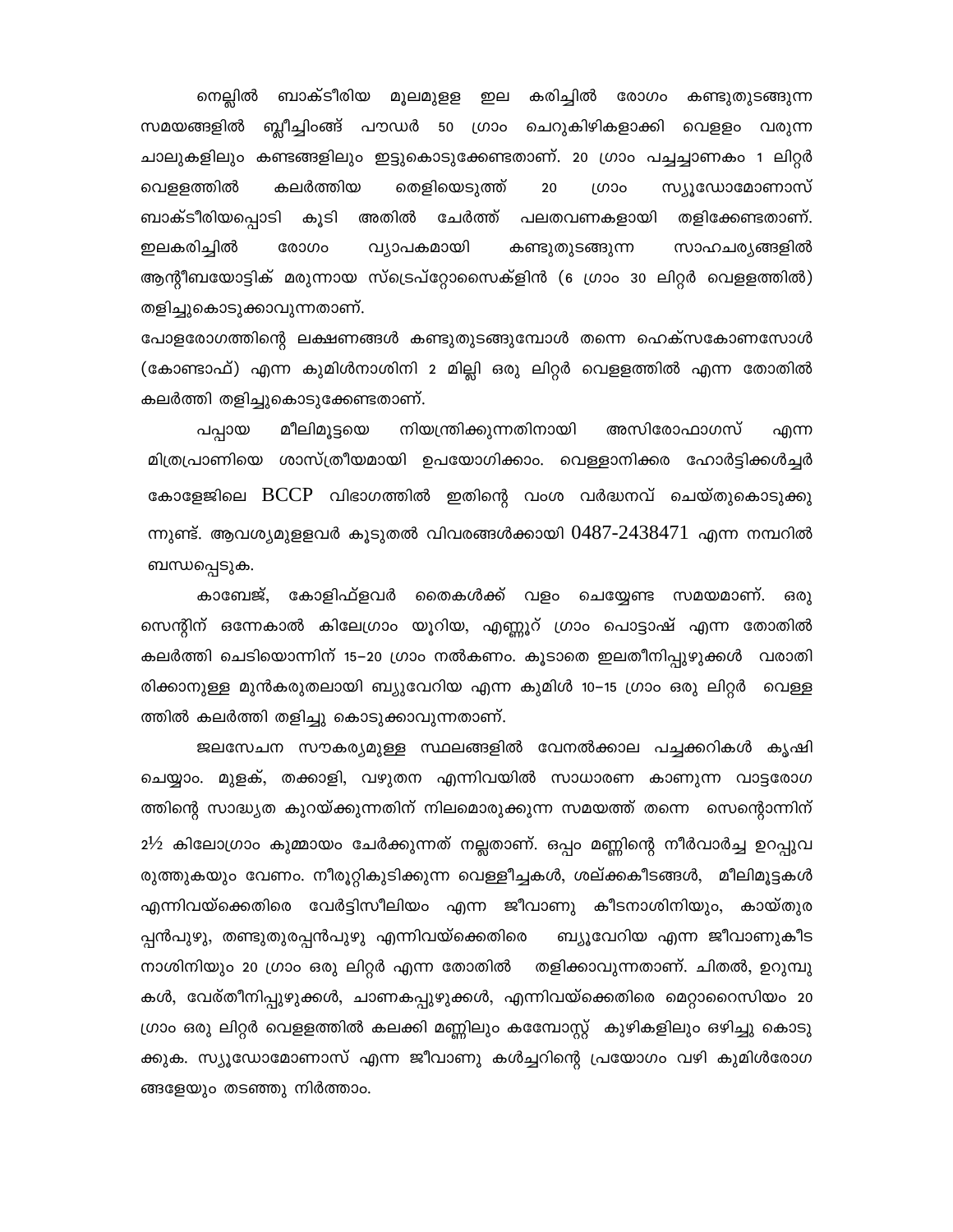നെല്ലിൽ ബാക്ടീരിയ കരിച്ചിൽ രോഗം കണ്ടുതുടങ്ങുന്ന രുലമുളള ഇല ബ്ലീച്ചിംങ്ങ് പൗഡർ 50 ഗ്രാം സമയങ്ങളിൽ ചെറുകിഴികളാക്കി വെളളം വരുന്ന ചാലുകളിലും കണ്ടങ്ങളിലും ഇട്ടുകൊടുക്കേണ്ടതാണ്. 20 ഗ്രാം പച്ചച്ചാണകം 1 ലിറ്റർ തെളിയെടുത്ത് സ്യൂഡോമോണാസ് വെളളത്തിൽ കലർത്തിയ ഗ്രാം 20 ബാക്ടീരിയപ്പൊടി കൂടി അതിൽ ചേർത്ത് പലതവണകളായി തളിക്കേണ്ടതാണ്. സാഹചര്യങ്ങളിൽ ഇലകരിച്ചിൽ രോഗം വ്യാപകമായി കണ്ടുതുടങ്ങുന്ന ആന്റീബയോട്ടിക് മരുന്നായ സ്ട്രെപ്റ്റോസൈക്ളിൻ (6 ഗ്രാം 30 ലിറ്റർ വെളളത്തിൽ) തളിച്ചുകൊടുക്കാവുന്നതാണ്.

പോളരോഗത്തിന്റെ ലക്ഷണങ്ങൾ കണ്ടുതുടങ്ങുമ്പോൾ തന്നെ ഹെക്സകോണസോൾ (കോണ്ടാഫ്) എന്ന കുമിൾനാശിനി 2 മില്ലി ഒരു ലിറ്റർ വെളളത്തിൽ എന്ന തോതിൽ കലർത്തി തളിച്ചുകൊടുക്കേണ്ടതാണ്.

നിയന്ത്രിക്കുന്നതിനായി അസിരോഫാഗസ് പപ്പായ മീലിമൂട്ടയെ എന്ന മിത്രപ്രാണിയെ ശാസ്ത്രീയമായി ഉപയോഗിക്കാം. വെള്ളാനിക്കര ഹോർട്ടിക്കൾച്ചർ കോളേജിലെ BCCP വിഭാഗത്തിൽ ഇതിന്റെ വംശ വർദ്ധനവ് ചെയ്തുകൊടുക്കു ന്നുണ്ട്. ആവശ്യമുളളവർ കൂടുതൽ വിവരങ്ങൾക്കായി  $0487-2438471$  എന്ന നമ്പറിൽ ബന്ധപ്പെടുക.

കാബേജ്, കോളിഫ്ളവർ തൈകൾക്ക് വളം ചെയ്യേണ്ട സമയമാണ്. ഒരു സെന്റിന് ഒന്നേകാൽ കിലേഗ്രാം യൂറിയ, എണ്ണൂറ് ഗ്രാം പൊട്ടാഷ് എന്ന തോതിൽ കലർത്തി ചെടിയൊന്നിന് 15–20 ഗ്രാം നൽകണം. കൂടാതെ ഇലതീനിപ്പുഴുക്കൾ വരാതി രിക്കാനുള്ള മുൻകരുതലായി ബ്യുവേറിയ എന്ന കുമിൾ 10–15 ഗ്രാം ഒരു ലിറ്റർ വെള്ള ത്തിൽ കലർത്തി തളിച്ചു കൊടുക്കാവുന്നതാണ്.

ജലസേചന സൗകര്യമുള്ള സ്ഥലങ്ങളിൽ വേനൽക്കാല പച്ചക്കറികൾ കൃഷി ചെയ്യാം. മുളക്, തക്കാളി, വഴുതന എന്നിവയിൽ സാധാരണ കാണുന്ന വാട്ടരോഗ ത്തിന്റെ സാദ്ധ്യത കുറയ്ക്കുന്നതിന് നിലമൊരുക്കുന്ന സമയത്ത് തന്നെ സെന്റൊന്നിന്  $2^{1}/2$  കിലോഗ്രാം കുമ്മായം ചേർക്കുന്നത് നല്ലതാണ്. ഒപ്പം മണ്ണിന്റെ നീർവാർച്ച ഉറപ്പുവ രുത്തുകയും വേണം. നീരൂറ്റികുടിക്കുന്ന വെള്ളീച്ചകൾ, ശല്ക്കകീടങ്ങൾ, മീലിമൂട്ടകൾ എന്നിവയ്ക്കെതിരെ വേർട്ടിസീലിയം എന്ന ജീവാണു കീടനാശിനിയും, കായ്തുര പ്പൻപുഴു, തണ്ടുതുരപ്പൻപുഴു എന്നിവയ്ക്കെതിരെ ബ്യൂവേറിയ എന്ന ജീവാണുകീട നാശിനിയും 20 ഗ്രാം ഒരു ലിറ്റർ എന്ന തോതിൽ തളിക്കാവുന്നതാണ്. ചിതൽ, ഉറുമ്പു കൾ, വേര്തീനിപ്പുഴുക്കൾ, ചാണകപ്പുഴുക്കൾ, എന്നിവയ്ക്കെതിരെ മെറ്റാറൈസിയം 20 ഗ്രാം ഒരു ലിറ്റർ വെളളത്തിൽ കലക്കി മണ്ണിലും കണ്ഡോസ്റ്റ് കുഴികളിലും ഒഴിച്ചു കൊടു ക്കുക. സ്യൂഡോമോണാസ് എന്ന ജീവാണു കൾച്ചറിന്റെ പ്രയോഗം വഴി കുമിൾരോഗ ങ്ങളേയും തടഞ്ഞു നിർത്താം.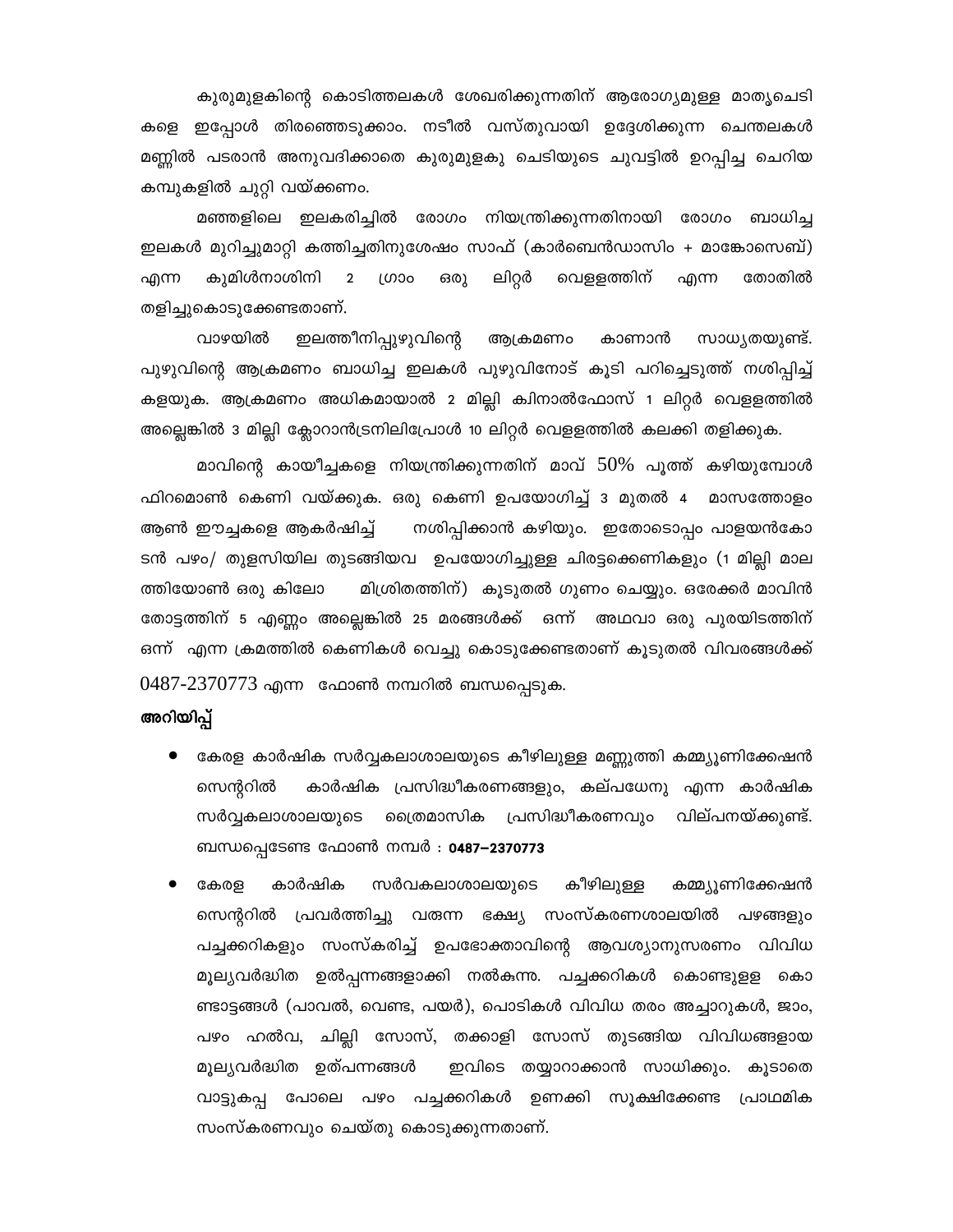കുരുമുളകിന്റെ കൊടിത്തലകൾ ശേഖരിക്കുന്നതിന് ആരോഗ്യമുള്ള മാതൃചെടി കളെ ഇപ്പോൾ തിരഞ്ഞെടുക്കാം. നടീൽ വസ്തുവായി ഉദ്ദേശിക്കുന്ന ചെന്തലകൾ മണ്ണിൽ പടരാൻ അനുവദിക്കാതെ കുരുമുളകു ചെടിയുടെ ചുവട്ടിൽ ഉറപ്പിച്ച ചെറിയ കമ്പുകളിൽ ചുറ്റി വയ്ക്കണം.

മഞ്ഞളിലെ ഇലകരിച്ചിൽ രോഗം നിയന്ത്രിക്കുന്നതിനായി രോഗം ബാധിച്ച ഇലകൾ മുറിച്ചുമാറ്റി കത്തിച്ചതിനുശേഷം സാഫ് (കാർബെൻഡാസിം + മാങ്കോസെബ്) എന്ന കുമിൾനാശിനി 2 დიუ ഒരു ലിറ്റർ വെള്ളത്തിന് എന്ന തോതിൽ തളിച്ചുകൊടുക്കേണ്ടതാണ്.

സാധ്യതയുണ്ട്. വാഴയിൽ ഇലത്തീനിപ്പുഴുവിന്റെ ആക്രമണം കാണാൻ പുഴുവിന്റെ ആക്രമണം ബാധിച്ച ഇലകൾ പുഴുവിനോട് കൂടി പറിച്ചെടുത്ത് നശിപ്പിച്ച് കളയുക. ആക്രമണം അധികമായാൽ 2 മില്ലി ക്വിനാൽഫോസ് 1 ലിറ്റർ വെളളത്തിൽ അല്ലെങ്കിൽ 3 മില്ലി ക്ലോറാൻട്രനിലിപ്രോൾ 10 ലിറ്റർ വെളളത്തിൽ കലക്കി തളിക്കുക.

മാവിന്റെ കായീച്ചകളെ നിയന്ത്രിക്കുന്നതിന് മാവ്  $50\%$  പൂത്ത് കഴിയുമ്പോൾ ഫിറമൊൺ കെണി വയ്ക്കുക. ഒരു കെണി ഉപയോഗിച്ച് 3 മുതൽ 4 മാസത്തോളം നശിപ്പിക്കാൻ കഴിയും. ഇതോടൊപ്പം പാളയൻകോ ആൺ ഈച്ചകളെ ആകർഷിച്ച് ടൻ പഴം/ തുളസിയില തുടങ്ങിയവ ഉപയോഗിച്ചുള്ള ചിരട്ടക്കെണികളും (1 മില്ലി മാല ത്തിയോൺ ഒരു കിലോ മിശ്രിതത്തിന്) കൂടുതൽ ഗുണം ചെയ്യും. ഒരേക്കർ മാവിൻ തോട്ടത്തിന് 5 എണ്ണം അല്ലെങ്കിൽ 25 മരങ്ങൾക്ക് ഒന്ന് അഥവാ ഒരു പുരയിടത്തിന് ഒന്ന് എന്ന ക്രമത്തിൽ കെണികൾ വെച്ചു കൊടുക്കേണ്ടതാണ് കൂടുതൽ വിവരങ്ങൾക്ക്  $0487-2370773$  എന്ന ഫോൺ നമ്പറിൽ ബന്ധപ്പെടുക.

## അറിയിപ്പ്

- $\bullet$  ഭകരള കാർഷിക സർവ്വകലാശാലയുടെ കീഴിലുള്ള മണ്ണുത്തി കമ്മ്യൂണിക്കേഷൻ സെന്ററിൽ കാർഷിക പ്രസിദ്ധീകരണങ്ങളും, കല്പധേനു എന്ന കാർഷിക സർവ്വകലാശാലയുടെ ത്രൈമാസിക പ്രസിദ്ധീകരണവും വില്പനയ്ക്കുണ്ട്. ബന്ധപ്പെടേണ്ട ഫോൺ നമ്പർ : 0487-2370773
- കേരള കാർഷിക സർവകലാശാലയുടെ കീഴിലുള്ള കമ്മ്യൂണിക്കേഷൻ സെന്ററിൽ പ്രവർത്തിച്ചു വരുന്ന ഭക്ഷ്യ സംസ്കരണശാലയിൽ പഴങ്ങളും പച്ചക്കറികളും സംസ്കരിച്ച് ഉപഭോക്താവിന്റെ ആവശ്യാനുസരണം വിവിധ മൂല്യവർദ്ധിത ഉൽപ്പന്നങ്ങളാക്കി നൽകന്ന. പച്ചക്കറികൾ കൊണ്ടുളള കൊ ണ്ടാട്ടങ്ങൾ (പാവൽ, വെണ്ട, പയർ), പൊടികൾ വിവിധ തരം അച്ചാറുകൾ, ജാം, പഴം ഹൽവ, ചില്ലി സോസ്, തക്കാളി സോസ് തുടങ്ങിയ വിവിധങ്ങളായ മൂല്യവർദ്ധിത ഉത്പന്നങ്ങൾ ഇവിടെ തയ്യാറാക്കാൻ സാധിക്കും. കൂടാതെ വാട്ടുകപ്പ പോലെ പഴം പച്ചക്കറികൾ ഉണക്കി സൂക്ഷിക്കേണ്ട പ്രാഥമിക സംസ്കരണവും ചെയ്തു കൊടുക്കുന്നതാണ്.